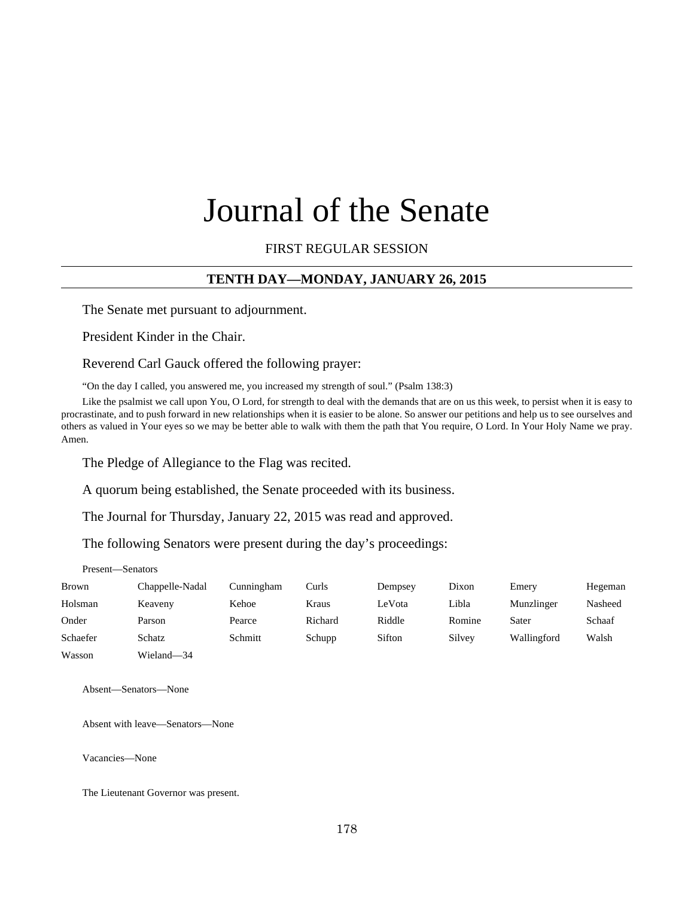# Journal of the Senate

FIRST REGULAR SESSION

## **TENTH DAY—MONDAY, JANUARY 26, 2015**

The Senate met pursuant to adjournment.

President Kinder in the Chair.

Reverend Carl Gauck offered the following prayer:

"On the day I called, you answered me, you increased my strength of soul." (Psalm 138:3)

Like the psalmist we call upon You, O Lord, for strength to deal with the demands that are on us this week, to persist when it is easy to procrastinate, and to push forward in new relationships when it is easier to be alone. So answer our petitions and help us to see ourselves and others as valued in Your eyes so we may be better able to walk with them the path that You require, O Lord. In Your Holy Name we pray. Amen.

The Pledge of Allegiance to the Flag was recited.

A quorum being established, the Senate proceeded with its business.

The Journal for Thursday, January 22, 2015 was read and approved.

The following Senators were present during the day's proceedings:

#### Present—Senators

| <b>Brown</b> | Chappelle-Nadal | Cunningham | Curls   | Dempsey | Dixon  | Emery       | Hegeman |
|--------------|-----------------|------------|---------|---------|--------|-------------|---------|
| Holsman      | Keaveny         | Kehoe      | Kraus   | LeVota  | Libla  | Munzlinger  | Nasheed |
| Onder        | Parson          | Pearce     | Richard | Riddle  | Romine | Sater       | Schaaf  |
| Schaefer     | Schatz          | Schmitt    | Schupp  | Sifton  | Silvey | Wallingford | Walsh   |
| Wasson       | Wieland—34      |            |         |         |        |             |         |

Absent—Senators—None

Absent with leave—Senators—None

Vacancies—None

The Lieutenant Governor was present.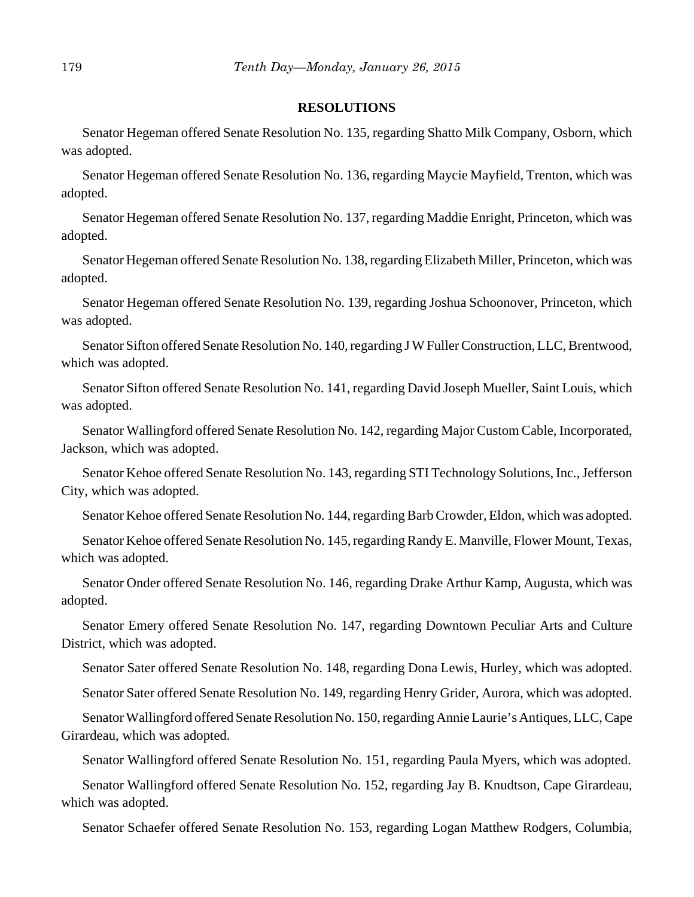#### **RESOLUTIONS**

Senator Hegeman offered Senate Resolution No. 135, regarding Shatto Milk Company, Osborn, which was adopted.

Senator Hegeman offered Senate Resolution No. 136, regarding Maycie Mayfield, Trenton, which was adopted.

Senator Hegeman offered Senate Resolution No. 137, regarding Maddie Enright, Princeton, which was adopted.

Senator Hegeman offered Senate Resolution No. 138, regarding Elizabeth Miller, Princeton, which was adopted.

Senator Hegeman offered Senate Resolution No. 139, regarding Joshua Schoonover, Princeton, which was adopted.

Senator Sifton offered Senate Resolution No. 140, regarding J W Fuller Construction, LLC, Brentwood, which was adopted.

Senator Sifton offered Senate Resolution No. 141, regarding David Joseph Mueller, Saint Louis, which was adopted.

Senator Wallingford offered Senate Resolution No. 142, regarding Major Custom Cable, Incorporated, Jackson, which was adopted.

Senator Kehoe offered Senate Resolution No. 143, regarding STI Technology Solutions, Inc., Jefferson City, which was adopted.

Senator Kehoe offered Senate Resolution No. 144, regarding Barb Crowder, Eldon, which was adopted.

Senator Kehoe offered Senate Resolution No. 145, regarding Randy E. Manville, Flower Mount, Texas, which was adopted.

Senator Onder offered Senate Resolution No. 146, regarding Drake Arthur Kamp, Augusta, which was adopted.

Senator Emery offered Senate Resolution No. 147, regarding Downtown Peculiar Arts and Culture District, which was adopted.

Senator Sater offered Senate Resolution No. 148, regarding Dona Lewis, Hurley, which was adopted.

Senator Sater offered Senate Resolution No. 149, regarding Henry Grider, Aurora, which was adopted.

Senator Wallingford offered Senate Resolution No. 150, regarding Annie Laurie's Antiques, LLC, Cape Girardeau, which was adopted.

Senator Wallingford offered Senate Resolution No. 151, regarding Paula Myers, which was adopted.

Senator Wallingford offered Senate Resolution No. 152, regarding Jay B. Knudtson, Cape Girardeau, which was adopted.

Senator Schaefer offered Senate Resolution No. 153, regarding Logan Matthew Rodgers, Columbia,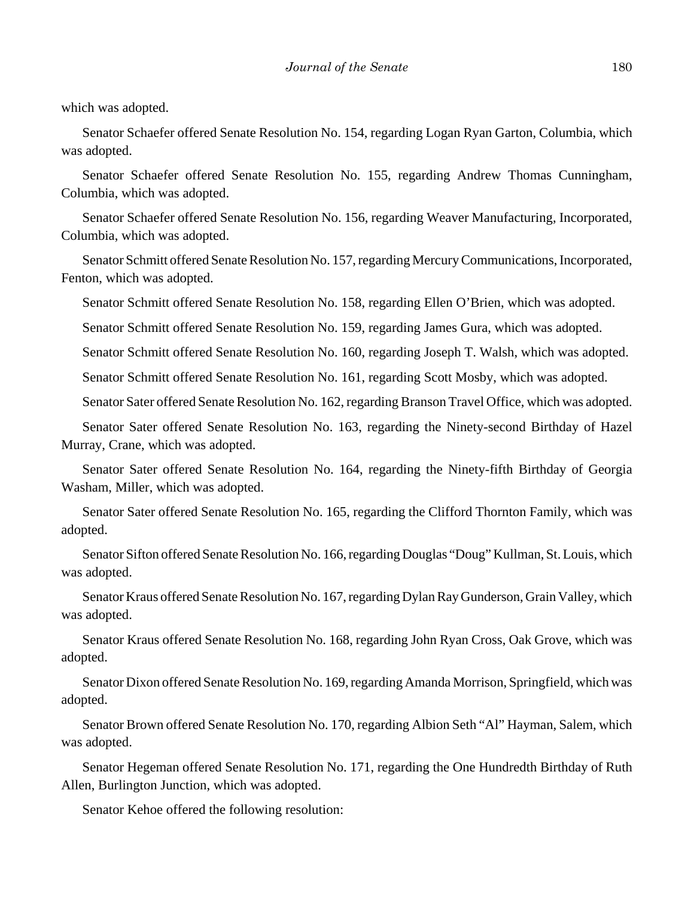which was adopted.

Senator Schaefer offered Senate Resolution No. 154, regarding Logan Ryan Garton, Columbia, which was adopted.

Senator Schaefer offered Senate Resolution No. 155, regarding Andrew Thomas Cunningham, Columbia, which was adopted.

Senator Schaefer offered Senate Resolution No. 156, regarding Weaver Manufacturing, Incorporated, Columbia, which was adopted.

Senator Schmitt offered Senate Resolution No. 157, regarding Mercury Communications, Incorporated, Fenton, which was adopted.

Senator Schmitt offered Senate Resolution No. 158, regarding Ellen O'Brien, which was adopted.

Senator Schmitt offered Senate Resolution No. 159, regarding James Gura, which was adopted.

Senator Schmitt offered Senate Resolution No. 160, regarding Joseph T. Walsh, which was adopted.

Senator Schmitt offered Senate Resolution No. 161, regarding Scott Mosby, which was adopted.

Senator Sater offered Senate Resolution No. 162, regarding Branson Travel Office, which was adopted.

Senator Sater offered Senate Resolution No. 163, regarding the Ninety-second Birthday of Hazel Murray, Crane, which was adopted.

Senator Sater offered Senate Resolution No. 164, regarding the Ninety-fifth Birthday of Georgia Washam, Miller, which was adopted.

Senator Sater offered Senate Resolution No. 165, regarding the Clifford Thornton Family, which was adopted.

Senator Sifton offered Senate Resolution No. 166, regarding Douglas "Doug" Kullman, St. Louis, which was adopted.

Senator Kraus offered Senate Resolution No. 167, regarding Dylan Ray Gunderson, Grain Valley, which was adopted.

Senator Kraus offered Senate Resolution No. 168, regarding John Ryan Cross, Oak Grove, which was adopted.

Senator Dixon offered Senate Resolution No. 169, regarding Amanda Morrison, Springfield, which was adopted.

Senator Brown offered Senate Resolution No. 170, regarding Albion Seth "Al" Hayman, Salem, which was adopted.

Senator Hegeman offered Senate Resolution No. 171, regarding the One Hundredth Birthday of Ruth Allen, Burlington Junction, which was adopted.

Senator Kehoe offered the following resolution: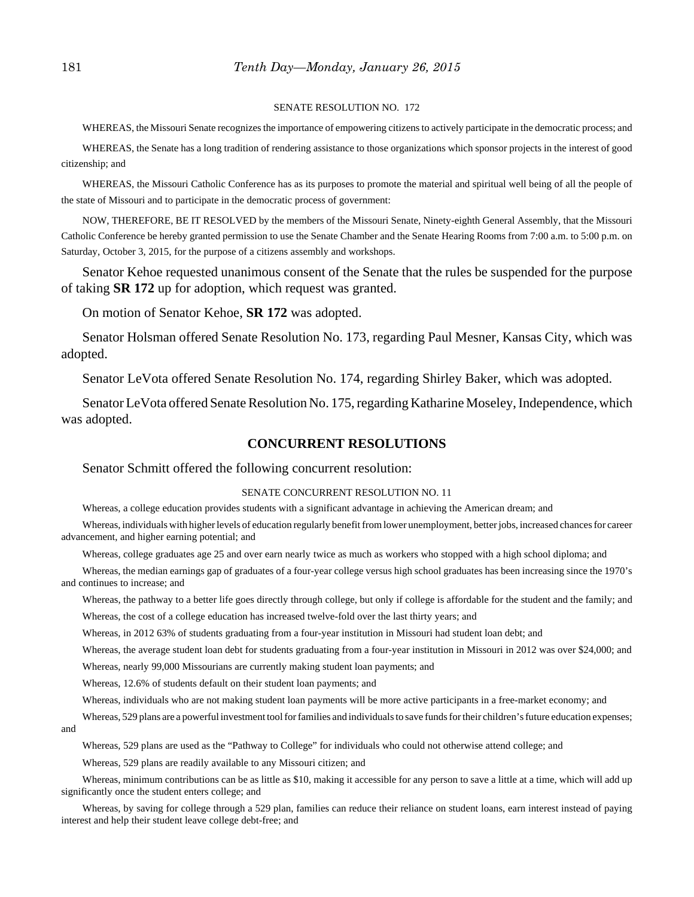#### SENATE RESOLUTION NO. 172

WHEREAS, the Missouri Senate recognizes the importance of empowering citizens to actively participate in the democratic process; and

WHEREAS, the Senate has a long tradition of rendering assistance to those organizations which sponsor projects in the interest of good citizenship; and

WHEREAS, the Missouri Catholic Conference has as its purposes to promote the material and spiritual well being of all the people of the state of Missouri and to participate in the democratic process of government:

NOW, THEREFORE, BE IT RESOLVED by the members of the Missouri Senate, Ninety-eighth General Assembly, that the Missouri Catholic Conference be hereby granted permission to use the Senate Chamber and the Senate Hearing Rooms from 7:00 a.m. to 5:00 p.m. on Saturday, October 3, 2015, for the purpose of a citizens assembly and workshops.

Senator Kehoe requested unanimous consent of the Senate that the rules be suspended for the purpose of taking **SR 172** up for adoption, which request was granted.

On motion of Senator Kehoe, **SR 172** was adopted.

Senator Holsman offered Senate Resolution No. 173, regarding Paul Mesner, Kansas City, which was adopted.

Senator LeVota offered Senate Resolution No. 174, regarding Shirley Baker, which was adopted.

Senator LeVota offered Senate Resolution No. 175, regarding Katharine Moseley, Independence, which was adopted.

#### **CONCURRENT RESOLUTIONS**

#### Senator Schmitt offered the following concurrent resolution:

#### SENATE CONCURRENT RESOLUTION NO. 11

Whereas, a college education provides students with a significant advantage in achieving the American dream; and

Whereas, individuals with higher levels of education regularly benefit from lower unemployment, better jobs, increased chances for career advancement, and higher earning potential; and

Whereas, college graduates age 25 and over earn nearly twice as much as workers who stopped with a high school diploma; and

Whereas, the median earnings gap of graduates of a four-year college versus high school graduates has been increasing since the 1970's and continues to increase; and

Whereas, the pathway to a better life goes directly through college, but only if college is affordable for the student and the family; and Whereas, the cost of a college education has increased twelve-fold over the last thirty years; and

Whereas, in 2012 63% of students graduating from a four-year institution in Missouri had student loan debt; and

Whereas, the average student loan debt for students graduating from a four-year institution in Missouri in 2012 was over \$24,000; and

Whereas, nearly 99,000 Missourians are currently making student loan payments; and

Whereas, 12.6% of students default on their student loan payments; and

Whereas, individuals who are not making student loan payments will be more active participants in a free-market economy; and

Whereas, 529 plans are a powerful investment tool for families and individuals to save funds for their children's future education expenses; and

Whereas, 529 plans are used as the "Pathway to College" for individuals who could not otherwise attend college; and

Whereas, 529 plans are readily available to any Missouri citizen; and

Whereas, minimum contributions can be as little as \$10, making it accessible for any person to save a little at a time, which will add up significantly once the student enters college; and

Whereas, by saving for college through a 529 plan, families can reduce their reliance on student loans, earn interest instead of paying interest and help their student leave college debt-free; and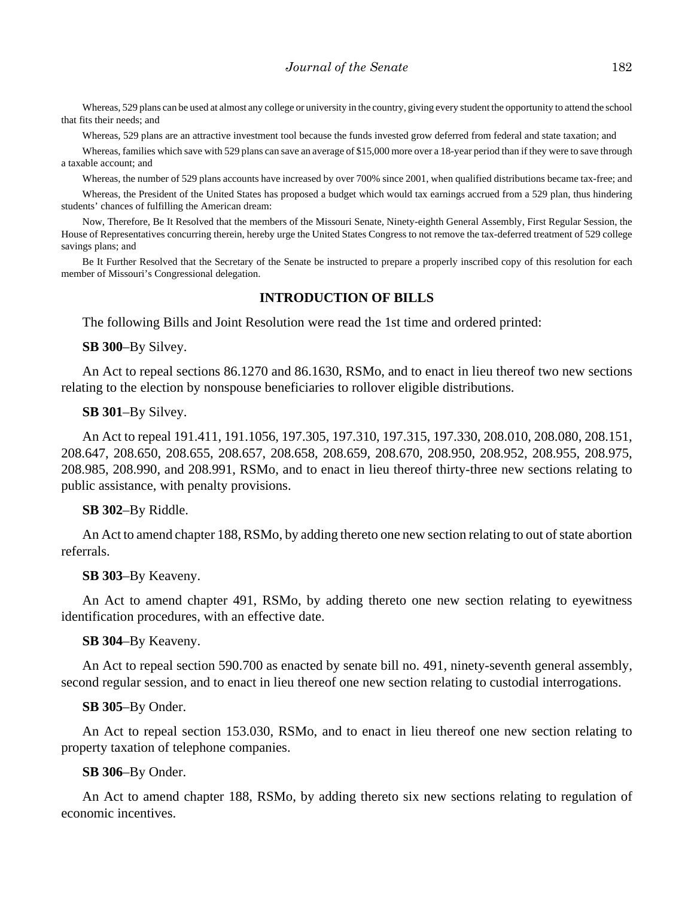Whereas, 529 plans can be used at almost any college or university in the country, giving every student the opportunity to attend the school that fits their needs; and

Whereas, 529 plans are an attractive investment tool because the funds invested grow deferred from federal and state taxation; and

Whereas, families which save with 529 plans can save an average of \$15,000 more over a 18-year period than if they were to save through a taxable account; and

Whereas, the number of 529 plans accounts have increased by over 700% since 2001, when qualified distributions became tax-free; and

Whereas, the President of the United States has proposed a budget which would tax earnings accrued from a 529 plan, thus hindering students' chances of fulfilling the American dream:

Now, Therefore, Be It Resolved that the members of the Missouri Senate, Ninety-eighth General Assembly, First Regular Session, the House of Representatives concurring therein, hereby urge the United States Congress to not remove the tax-deferred treatment of 529 college savings plans; and

Be It Further Resolved that the Secretary of the Senate be instructed to prepare a properly inscribed copy of this resolution for each member of Missouri's Congressional delegation.

#### **INTRODUCTION OF BILLS**

The following Bills and Joint Resolution were read the 1st time and ordered printed:

**SB 300**–By Silvey.

An Act to repeal sections 86.1270 and 86.1630, RSMo, and to enact in lieu thereof two new sections relating to the election by nonspouse beneficiaries to rollover eligible distributions.

#### **SB 301**–By Silvey.

An Act to repeal 191.411, 191.1056, 197.305, 197.310, 197.315, 197.330, 208.010, 208.080, 208.151, 208.647, 208.650, 208.655, 208.657, 208.658, 208.659, 208.670, 208.950, 208.952, 208.955, 208.975, 208.985, 208.990, and 208.991, RSMo, and to enact in lieu thereof thirty-three new sections relating to public assistance, with penalty provisions.

#### **SB 302**–By Riddle.

An Act to amend chapter 188, RSMo, by adding thereto one new section relating to out of state abortion referrals.

#### **SB 303**–By Keaveny.

An Act to amend chapter 491, RSMo, by adding thereto one new section relating to eyewitness identification procedures, with an effective date.

#### **SB 304**–By Keaveny.

An Act to repeal section 590.700 as enacted by senate bill no. 491, ninety-seventh general assembly, second regular session, and to enact in lieu thereof one new section relating to custodial interrogations.

#### **SB 305**–By Onder.

An Act to repeal section 153.030, RSMo, and to enact in lieu thereof one new section relating to property taxation of telephone companies.

#### **SB 306**–By Onder.

An Act to amend chapter 188, RSMo, by adding thereto six new sections relating to regulation of economic incentives.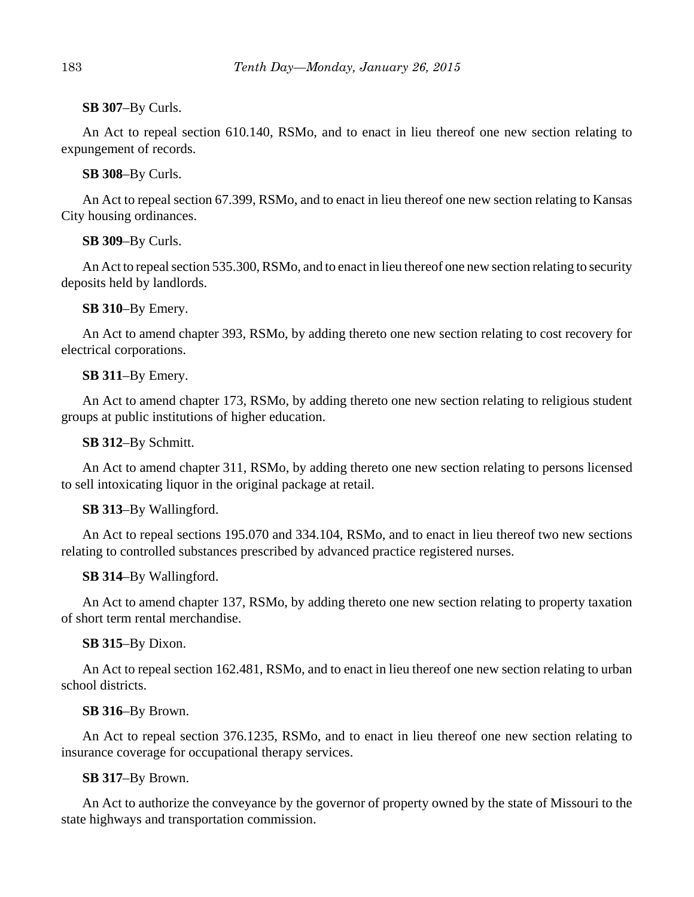**SB 307**–By Curls.

An Act to repeal section 610.140, RSMo, and to enact in lieu thereof one new section relating to expungement of records.

**SB 308**–By Curls.

An Act to repeal section 67.399, RSMo, and to enact in lieu thereof one new section relating to Kansas City housing ordinances.

# **SB 309**–By Curls.

An Act to repeal section 535.300, RSMo, and to enact in lieu thereof one new section relating to security deposits held by landlords.

## **SB 310**–By Emery.

An Act to amend chapter 393, RSMo, by adding thereto one new section relating to cost recovery for electrical corporations.

## **SB 311**–By Emery.

An Act to amend chapter 173, RSMo, by adding thereto one new section relating to religious student groups at public institutions of higher education.

**SB 312**–By Schmitt.

An Act to amend chapter 311, RSMo, by adding thereto one new section relating to persons licensed to sell intoxicating liquor in the original package at retail.

# **SB 313**–By Wallingford.

An Act to repeal sections 195.070 and 334.104, RSMo, and to enact in lieu thereof two new sections relating to controlled substances prescribed by advanced practice registered nurses.

# **SB 314**–By Wallingford.

An Act to amend chapter 137, RSMo, by adding thereto one new section relating to property taxation of short term rental merchandise.

# **SB 315**–By Dixon.

An Act to repeal section 162.481, RSMo, and to enact in lieu thereof one new section relating to urban school districts.

#### **SB 316**–By Brown.

An Act to repeal section 376.1235, RSMo, and to enact in lieu thereof one new section relating to insurance coverage for occupational therapy services.

# **SB 317**–By Brown.

An Act to authorize the conveyance by the governor of property owned by the state of Missouri to the state highways and transportation commission.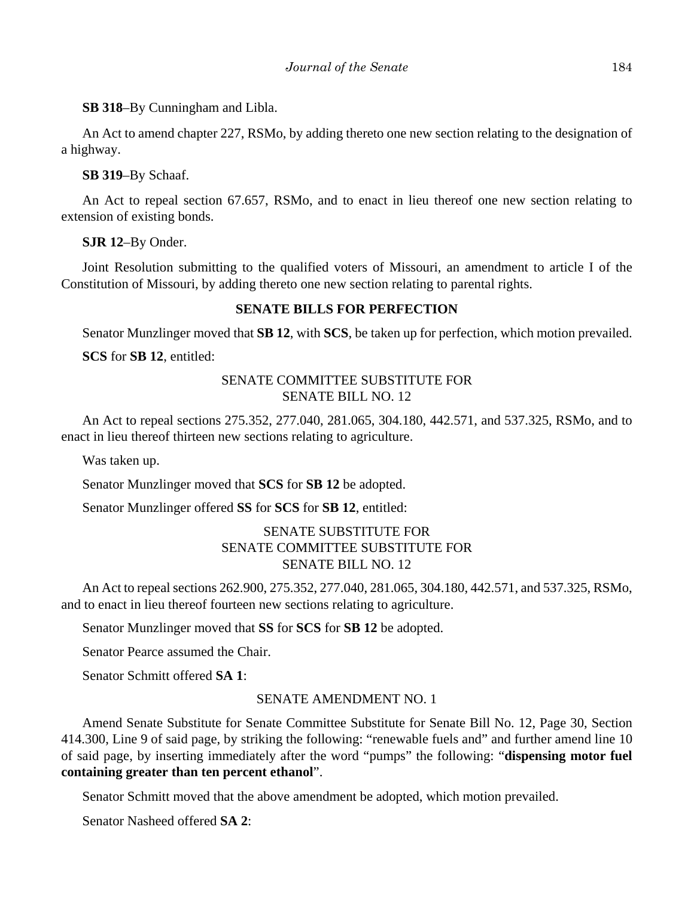**SB 318**–By Cunningham and Libla.

An Act to amend chapter 227, RSMo, by adding thereto one new section relating to the designation of a highway.

**SB 319**–By Schaaf.

An Act to repeal section 67.657, RSMo, and to enact in lieu thereof one new section relating to extension of existing bonds.

**SJR 12**–By Onder.

Joint Resolution submitting to the qualified voters of Missouri, an amendment to article I of the Constitution of Missouri, by adding thereto one new section relating to parental rights.

## **SENATE BILLS FOR PERFECTION**

Senator Munzlinger moved that **SB 12**, with **SCS**, be taken up for perfection, which motion prevailed.

**SCS** for **SB 12**, entitled:

# SENATE COMMITTEE SUBSTITUTE FOR SENATE BILL NO. 12

An Act to repeal sections 275.352, 277.040, 281.065, 304.180, 442.571, and 537.325, RSMo, and to enact in lieu thereof thirteen new sections relating to agriculture.

Was taken up.

Senator Munzlinger moved that **SCS** for **SB 12** be adopted.

Senator Munzlinger offered **SS** for **SCS** for **SB 12**, entitled:

# SENATE SUBSTITUTE FOR SENATE COMMITTEE SUBSTITUTE FOR SENATE BILL NO. 12

An Act to repeal sections 262.900, 275.352, 277.040, 281.065, 304.180, 442.571, and 537.325, RSMo, and to enact in lieu thereof fourteen new sections relating to agriculture.

Senator Munzlinger moved that **SS** for **SCS** for **SB 12** be adopted.

Senator Pearce assumed the Chair.

Senator Schmitt offered **SA 1**:

#### SENATE AMENDMENT NO. 1

Amend Senate Substitute for Senate Committee Substitute for Senate Bill No. 12, Page 30, Section 414.300, Line 9 of said page, by striking the following: "renewable fuels and" and further amend line 10 of said page, by inserting immediately after the word "pumps" the following: "**dispensing motor fuel containing greater than ten percent ethanol**".

Senator Schmitt moved that the above amendment be adopted, which motion prevailed.

Senator Nasheed offered **SA 2**: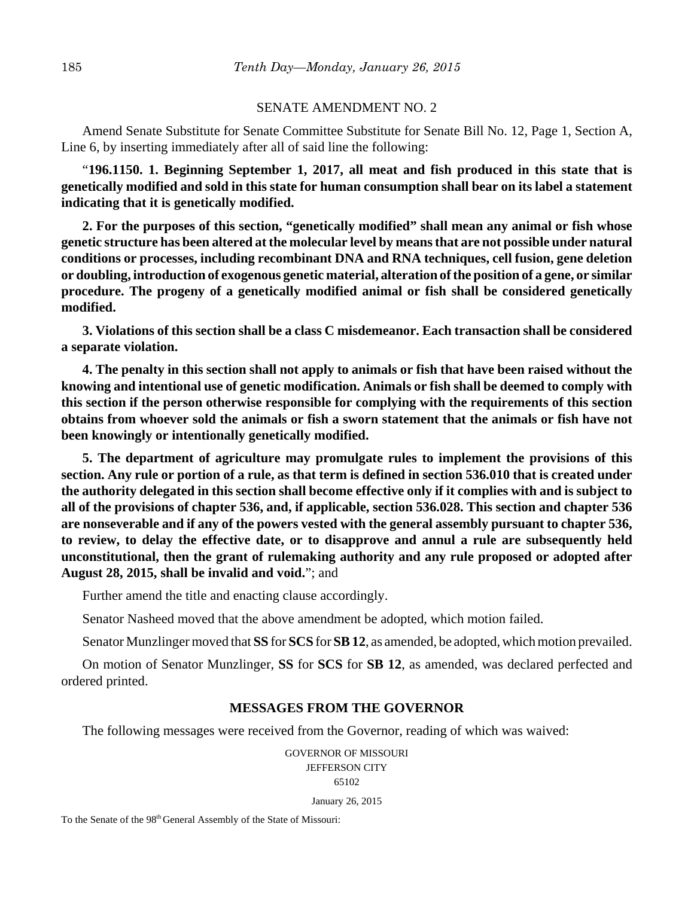#### SENATE AMENDMENT NO. 2

Amend Senate Substitute for Senate Committee Substitute for Senate Bill No. 12, Page 1, Section A, Line 6, by inserting immediately after all of said line the following:

"**196.1150. 1. Beginning September 1, 2017, all meat and fish produced in this state that is genetically modified and sold in this state for human consumption shall bear on its label a statement indicating that it is genetically modified.**

**2. For the purposes of this section, "genetically modified" shall mean any animal or fish whose genetic structure has been altered at the molecular level by means that are not possible under natural conditions or processes, including recombinant DNA and RNA techniques, cell fusion, gene deletion or doubling, introduction of exogenous genetic material, alteration of the position of a gene, or similar procedure. The progeny of a genetically modified animal or fish shall be considered genetically modified.**

**3. Violations of this section shall be a class C misdemeanor. Each transaction shall be considered a separate violation.**

**4. The penalty in this section shall not apply to animals or fish that have been raised without the knowing and intentional use of genetic modification. Animals or fish shall be deemed to comply with this section if the person otherwise responsible for complying with the requirements of this section obtains from whoever sold the animals or fish a sworn statement that the animals or fish have not been knowingly or intentionally genetically modified.**

**5. The department of agriculture may promulgate rules to implement the provisions of this section. Any rule or portion of a rule, as that term is defined in section 536.010 that is created under the authority delegated in this section shall become effective only if it complies with and is subject to all of the provisions of chapter 536, and, if applicable, section 536.028. This section and chapter 536 are nonseverable and if any of the powers vested with the general assembly pursuant to chapter 536, to review, to delay the effective date, or to disapprove and annul a rule are subsequently held unconstitutional, then the grant of rulemaking authority and any rule proposed or adopted after August 28, 2015, shall be invalid and void.**"; and

Further amend the title and enacting clause accordingly.

Senator Nasheed moved that the above amendment be adopted, which motion failed.

Senator Munzlinger moved that **SS** for **SCS** for **SB 12**, as amended, be adopted, which motion prevailed.

On motion of Senator Munzlinger, **SS** for **SCS** for **SB 12**, as amended, was declared perfected and ordered printed.

#### **MESSAGES FROM THE GOVERNOR**

The following messages were received from the Governor, reading of which was waived:

GOVERNOR OF MISSOURI JEFFERSON CITY 65102

January 26, 2015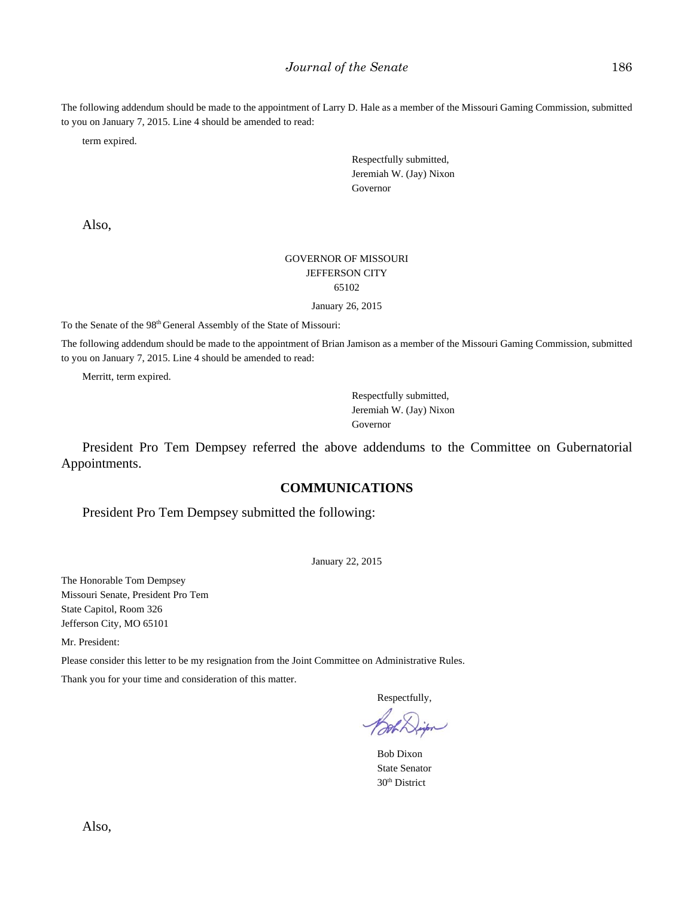The following addendum should be made to the appointment of Larry D. Hale as a member of the Missouri Gaming Commission, submitted to you on January 7, 2015. Line 4 should be amended to read:

term expired.

Respectfully submitted, Jeremiah W. (Jay) Nixon Governor

Also,

#### GOVERNOR OF MISSOURI JEFFERSON CITY 65102

January 26, 2015

To the Senate of the 98th General Assembly of the State of Missouri:

The following addendum should be made to the appointment of Brian Jamison as a member of the Missouri Gaming Commission, submitted to you on January 7, 2015. Line 4 should be amended to read:

Merritt, term expired.

Respectfully submitted, Jeremiah W. (Jay) Nixon Governor

President Pro Tem Dempsey referred the above addendums to the Committee on Gubernatorial Appointments.

#### **COMMUNICATIONS**

President Pro Tem Dempsey submitted the following:

January 22, 2015

The Honorable Tom Dempsey Missouri Senate, President Pro Tem State Capitol, Room 326 Jefferson City, MO 65101

Mr. President:

Please consider this letter to be my resignation from the Joint Committee on Administrative Rules.

Thank you for your time and consideration of this matter.

Respectfully,

Bob Dixon State Senator 30th District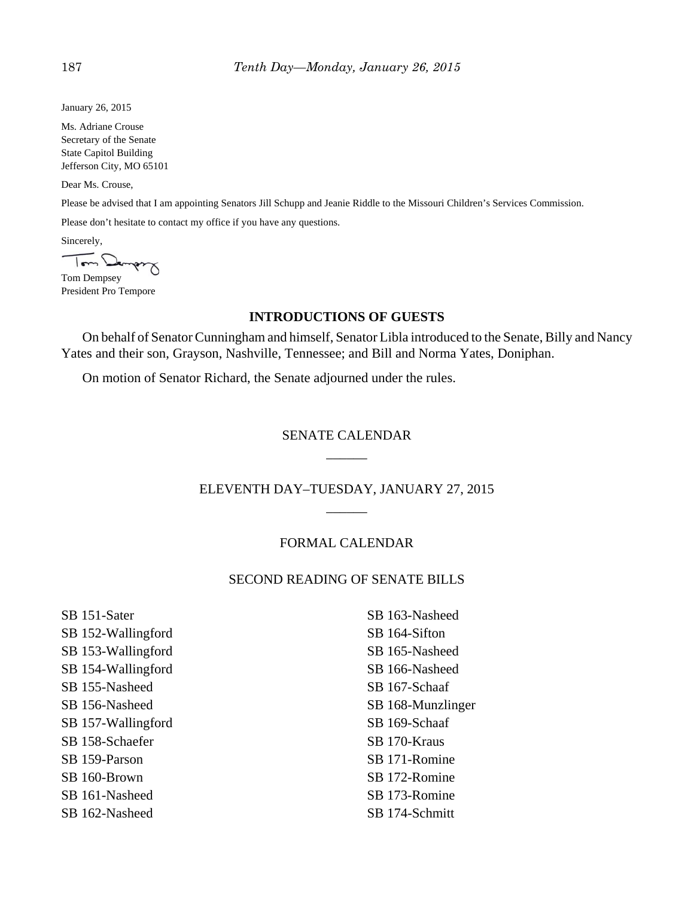January 26, 2015

Ms. Adriane Crouse Secretary of the Senate State Capitol Building Jefferson City, MO 65101

Dear Ms. Crouse,

Please be advised that I am appointing Senators Jill Schupp and Jeanie Riddle to the Missouri Children's Services Commission.

Please don't hesitate to contact my office if you have any questions.

Sincerely,

Tom Demps

Tom Dempsey President Pro Tempore

## **INTRODUCTIONS OF GUESTS**

On behalf of Senator Cunningham and himself, Senator Libla introduced to the Senate, Billy and Nancy Yates and their son, Grayson, Nashville, Tennessee; and Bill and Norma Yates, Doniphan.

On motion of Senator Richard, the Senate adjourned under the rules.

# SENATE CALENDAR \_\_\_\_\_\_

ELEVENTH DAY–TUESDAY, JANUARY 27, 2015  $\overline{\phantom{a}}$ 

#### FORMAL CALENDAR

# SECOND READING OF SENATE BILLS

SB 151-Sater SB 152-Wallingford SB 153-Wallingford SB 154-Wallingford SB 155-Nasheed SB 156-Nasheed SB 157-Wallingford SB 158-Schaefer SB 159-Parson SB 160-Brown SB 161-Nasheed SB 162-Nasheed

SB 163-Nasheed SB 164-Sifton SB 165-Nasheed SB 166-Nasheed SB 167-Schaaf SB 168-Munzlinger SB 169-Schaaf SB 170-Kraus SB 171-Romine SB 172-Romine SB 173-Romine SB 174-Schmitt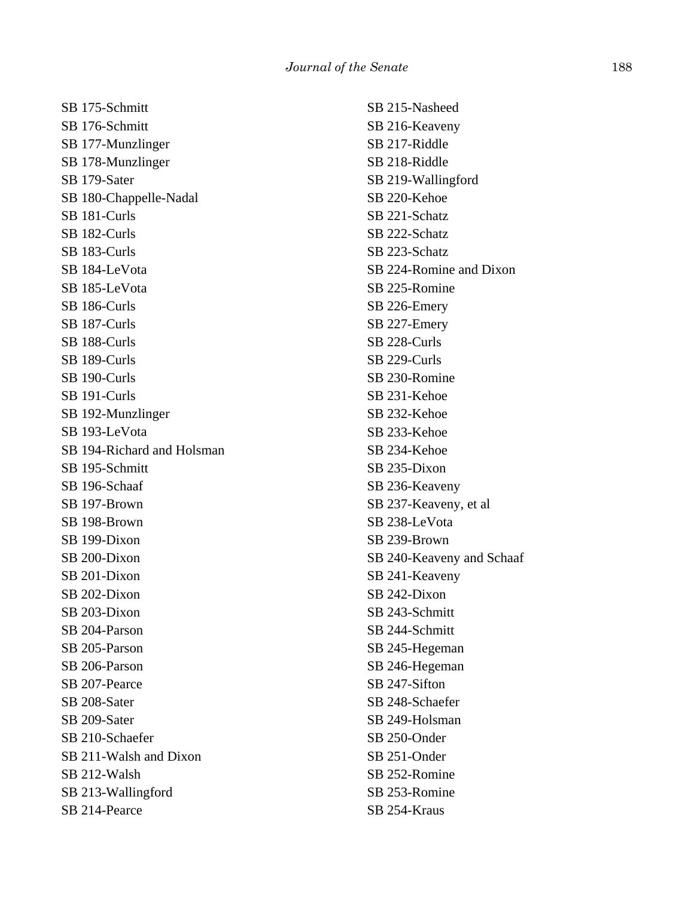SB 175-Schmitt SB 176-Schmitt SB 177-Munzlinger SB 178-Munzlinger SB 179-Sater SB 180-Chappelle-Nadal SB 181-Curls SB 182-Curls SB 183-Curls SB 184-LeVota SB 185-LeVota SB 186-Curls SB 187-Curls SB 188-Curls SB 189-Curls SB 190-Curls SB 191-Curls SB 192-Munzlinger SB 193-LeVota SB 194-Richard and Holsman SB 195-Schmitt SB 196-Schaaf SB 197-Brown SB 198-Brown SB 199-Dixon SB 200-Dixon SB 201-Dixon SB 202-Dixon SB 203-Dixon SB 204-Parson SB 205-Parson SB 206-Parson SB 207-Pearce SB 208-Sater SB 209-Sater SB 210-Schaefer SB 211-Walsh and Dixon SB 212-Walsh SB 213-Wallingford SB 214-Pearce

SB 215-Nasheed SB 216-Keaveny SB 217-Riddle SB 218-Riddle SB 219-Wallingford SB 220-Kehoe SB 221-Schatz SB 222-Schatz SB 223-Schatz SB 224-Romine and Dixon SB 225-Romine SB 226-Emery SB 227-Emery SB 228-Curls SB 229-Curls SB 230-Romine SB 231-Kehoe SB 232-Kehoe SB 233-Kehoe SB 234-Kehoe SB 235-Dixon SB 236-Keaveny SB 237-Keaveny, et al SB 238-LeVota SB 239-Brown SB 240-Keaveny and Schaaf SB 241-Keaveny SB 242-Dixon SB 243-Schmitt SB 244-Schmitt SB 245-Hegeman SB 246-Hegeman SB 247-Sifton SB 248-Schaefer SB 249-Holsman SB 250-Onder SB 251-Onder SB 252-Romine SB 253-Romine SB 254-Kraus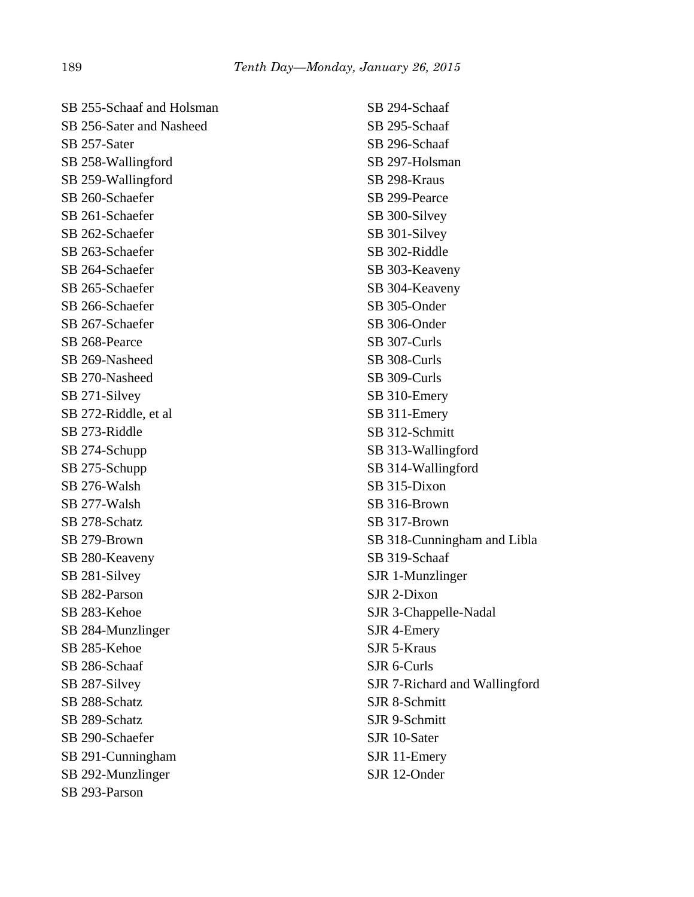| SB 255-Schaaf and Holsman |
|---------------------------|
| SB 256-Sater and Nasheed  |
| SB 257-Sater              |
| SB 258-Wallingford        |
| SB 259-Wallingford        |
| SB 260-Schaefer           |
| SB 261-Schaefer           |
| SB 262-Schaefer           |
| SB 263-Schaefer           |
| SB 264-Schaefer           |
| SB 265-Schaefer           |
| SB 266-Schaefer           |
| SB 267-Schaefer           |
| SB 268-Pearce             |
| SB 269-Nasheed            |
| SB 270-Nasheed            |
| SB 271-Silvey             |
| SB 272-Riddle, et al      |
| SB 273-Riddle             |
| SB 274-Schupp             |
| SB 275-Schupp             |
| SB 276-Walsh              |
| SB 277-Walsh              |
| SB 278-Schatz             |
| SB 279-Brown              |
| SB 280-Keaveny            |
| SB 281-Silvey             |
| SB 282-Parson             |
| SB 283-Kehoe              |
| SB 284-Munzlinger         |
| SB 285-Kehoe              |
| SB 286-Schaaf             |
| SB 287-Silvey             |
| SB 288-Schatz             |
| SB 289-Schatz             |
| SB 290-Schaefer           |
| SB 291-Cunningham         |
| SB 292-Munzlinger         |
| SB 293-Parson             |

SB 294-Schaaf SB 295-Schaaf SB 296-Schaaf SB 297-Holsman SB 298-Kraus SB 299-Pearce SB 300-Silvey SB 301-Silvey SB 302-Riddle SB 303-Keaveny SB 304-Keaveny SB 305-Onder SB 306-Onder SB 307-Curls SB 308-Curls SB 309-Curls SB 310-Emery SB 311-Emery SB 312-Schmitt SB 313-Wallingford SB 314-Wallingford SB 315-Dixon SB 316-Brown SB 317-Brown SB 318-Cunningham and Libla SB 319-Schaaf SJR 1-Munzlinger SJR 2-Dixon SJR 3-Chappelle-Nadal SJR 4-Emery SJR 5-Kraus SJR 6-Curls SJR 7-Richard and Wallingford SJR 8-Schmitt SJR 9-Schmitt SJR 10-Sater SJR 11-Emery SJR 12-Onder